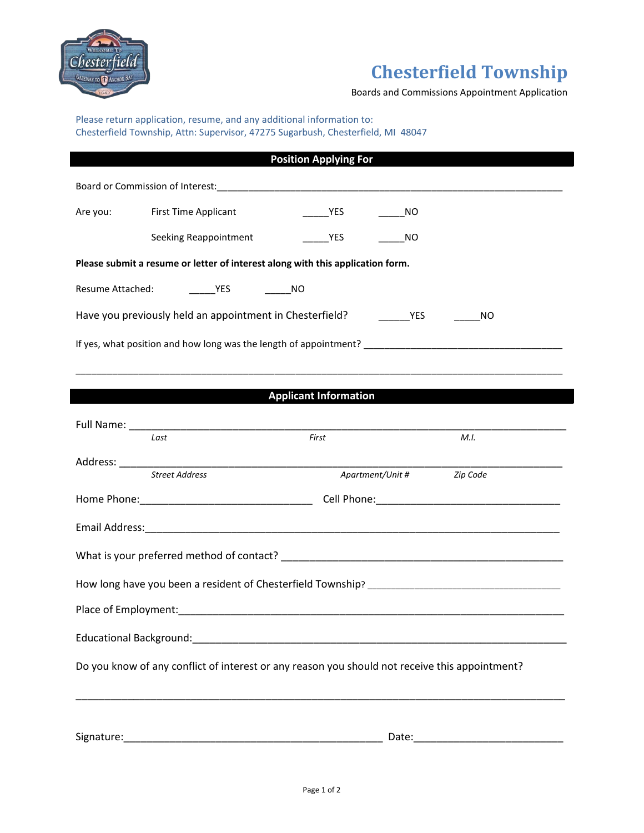

## **Chesterfield Township**

Boards and Commissions Appointment Application

Please return application, resume, and any additional information to: Chesterfield Township, Attn: Supervisor, 47275 Sugarbush, Chesterfield, MI 48047

|                                                                                          |                                                                                                | <b>Position Applying For</b> |           |  |
|------------------------------------------------------------------------------------------|------------------------------------------------------------------------------------------------|------------------------------|-----------|--|
|                                                                                          |                                                                                                |                              |           |  |
| Are you:                                                                                 | <b>First Time Applicant</b>                                                                    | <b>Example 19 YES</b>        | NO.       |  |
|                                                                                          | Seeking Reappointment                                                                          | YES                          | <b>NO</b> |  |
|                                                                                          | Please submit a resume or letter of interest along with this application form.                 |                              |           |  |
| Resume Attached:                                                                         | NO <sub>N</sub> YES NO                                                                         |                              |           |  |
| Have you previously held an appointment in Chesterfield? ________________________<br>NO. |                                                                                                |                              |           |  |
|                                                                                          |                                                                                                |                              |           |  |
|                                                                                          |                                                                                                |                              |           |  |
|                                                                                          |                                                                                                | <b>Applicant Information</b> |           |  |
|                                                                                          |                                                                                                |                              |           |  |
|                                                                                          | Last                                                                                           | First                        | M.I.      |  |
|                                                                                          | <b>Street Address</b>                                                                          | Apartment/Unit #             | Zip Code  |  |
|                                                                                          |                                                                                                |                              |           |  |
|                                                                                          |                                                                                                |                              |           |  |
|                                                                                          |                                                                                                |                              |           |  |
|                                                                                          |                                                                                                |                              |           |  |
|                                                                                          |                                                                                                |                              |           |  |
|                                                                                          |                                                                                                |                              |           |  |
|                                                                                          | Do you know of any conflict of interest or any reason you should not receive this appointment? |                              |           |  |
|                                                                                          |                                                                                                |                              |           |  |
|                                                                                          |                                                                                                |                              |           |  |
|                                                                                          |                                                                                                |                              | Date:     |  |